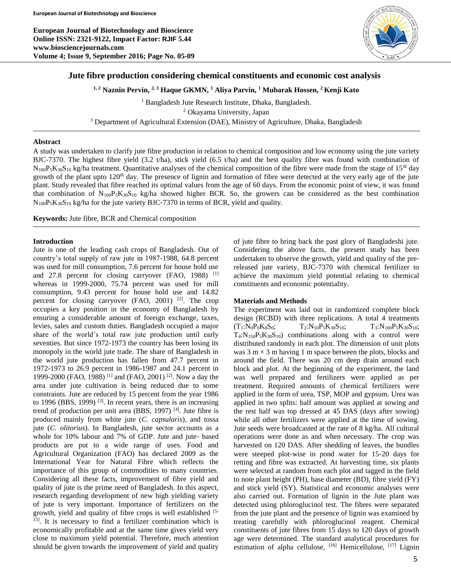**European Journal of Biotechnology and Bioscience Online ISSN: 2321-9122, Impact Factor: RJIF 5.44 www.biosciencejournals.com Volume 4; Issue 9, September 2016; Page No. 05-09**



# **Jute fibre production considering chemical constituents and economic cost analysis**

**1, 2 Naznin Pervin, 2, 3 Haque GKMN, <sup>1</sup> Aliya Parvin, <sup>1</sup> Mubarak Hossen, <sup>2</sup> Kenji Kato**

<sup>1</sup> Bangladesh Jute Research Institute, Dhaka, Bangladesh. <sup>2</sup> Okayama University, Japan <sup>3</sup> Department of Agricultural Extension (DAE), Ministry of Agriculture, Dhaka, Bangladesh

## **Abstract**

A study was undertaken to clarify jute fibre production in relation to chemical composition and low economy using the jute variety BJC-7370. The highest fibre yield  $(3.2 \text{ t/ha})$ , stick yield  $(6.5 \text{ t/ha})$  and the best quality fibre was found with combination of  $N_{100}P_5K_{30}S_{10}$  kg/ha treatment. Quantitative analyses of the chemical composition of the fibre were made from the stage of 15<sup>th</sup> day growth of the plant upto  $120<sup>th</sup>$  day. The presence of lignin and formation of fibre were detected at the very early age of the jute plant. Study revealed that fibre reached its optimal values from the age of 60 days. From the economic point of view, it was found that combination of  $N_{100}P_5K_{30}S_{10}$  kg/ha showed higher BCR. So, the growers can be considered as the best combination  $N_{100}P_5K_{30}S_{10}$  kg/ha for the jute variety BJC-7370 in terms of BCR, yield and quality.

**Keywords:** Jute fibre, BCR and Chemical composition

### **Introduction**

Jute is one of the leading cash crops of Bangladesh. Out of country's total supply of raw jute in 1987-1988, 64.8 percent was used for mill consumption, 7.6 percent for house hold use and 27.8 percent for closing carryover (FAO, 1988) <sup>[1]</sup> whereas in 1999-2000, 75.74 percent was used for mill consumption, 9.43 percent for house hold use and 14.82 percent for closing carryover (FAO, 2001) <sup>[2]</sup>. The crop occupies a key position in the economy of Bangladesh by ensuring a considerable amount of foreign exchange, taxes, levies, sales and custom duties. Bangladesh occupied a major share of the world's total raw jute production until early seventies. But since 1972-1973 the country has been losing its monopoly in the world jute trade. The share of Bangladesh in the world jute production has fallen from 47.7 percent in 1972-1973 to 26.9 percent in 1986-1987 and 24.1 percent in 1999-2000 (FAO, 1988) [1] and (FAO, 2001) [2]. Now a day the area under jute cultivation is being reduced due to some constraints. Jute are reduced by 15 percent from the year 1986 to 1996 (BBS, 1999)  $^{[3]}$ . In recent years, there is an increasing trend of production per unit area (BBS, 1997)  $[4]$ . Jute fibre is produced mainly from white jute (*C. capsularis*), and tossa jute (*C. olitorius*). In Bangladesh, jute sector accounts as a whole for 10% labour and 7% of GDP. Jute and jute- based products are put to a wide range of uses. Food and Agricultural Organization (FAO) has declared 2009 as the International Year for Natural Fibre which reflects the importance of this group of commodities to many countries. Considering all these facts, improvement of fibre yield and quality of jute is the prime need of Bangladesh. In this aspect, research regarding development of new high yielding variety of jute is very important. Importance of fertilizers on the growth, yield and quality of fibre crops is well established [5-<br> 15]. It is necessary to find a fertilizer combination which is economically profitable and at the same time gives yield very close to maximum yield potential. Therefore, much attention should be given towards the improvement of yield and quality

of jute fibre to bring back the past glory of Bangladeshi jute. Considering the above facts, the present study has been undertaken to observe the growth, yield and quality of the pre‐ released jute variety, BJC‐7370 with chemical fertilizer to achieve the maximum yield potential relating to chemical constituents and economic potentiality.

#### **Materials and Methods**

The experiment was laid out in randomized complete block design (RCBD) with three replications. A total 4 treatments  $(T_1:N_0P_0K_0S_0;$   $T_2:N_{50}P_5K_{30}S_{10};$   $T_3:N_{100}P_5K_{30}S_{10};$  $T_4:N_{150}P_5K_{30}S_{10}$  combinations along with a control were distributed randomly in each plot. The dimension of unit plots was  $3 \text{ m} \times 3 \text{ m}$  having 1 m space between the plots, blocks and around the field. There was 20 cm deep drain around each block and plot. At the beginning of the experiment, the land was well prepared and fertilizers were applied as per treatment. Required amounts of chemical fertilizers were applied in the form of urea, TSP, MOP and gypsum. Urea was applied in two splits: half amount was applied at sowing and the rest half was top dressed at 45 DAS (days after sowing) while all other fertilizers were applied at the time of sowing. Jute seeds were broadcasted at the rate of 8 kg/ha. All cultural operations were done as and when necessary. The crop was harvested on 120 DAS. After shedding of leaves, the bundles were steeped plot‐wise in pond water for 15‐20 days for retting and fibre was extracted. At harvesting time, six plants were selected at random from each plot and tagged in the field to note plant height (PH), base diameter (BD), fibre yield (FY) and stick yield (SY). Statistical and economic analyses were also carried out. Formation of lignin in the Jute plant was detected using phloroglucinol test. The fibres were separated from the jute plant and the presence of lignin was examined by treating carefully with phloroglucinol reagent. Chemical constituents of jute fibres from 15 days to 120 days of growth age were determined. The standard analytical procedures for estimation of alpha cellulose, <sup>[16]</sup> Hemicellulose, <sup>[17]</sup> Lignin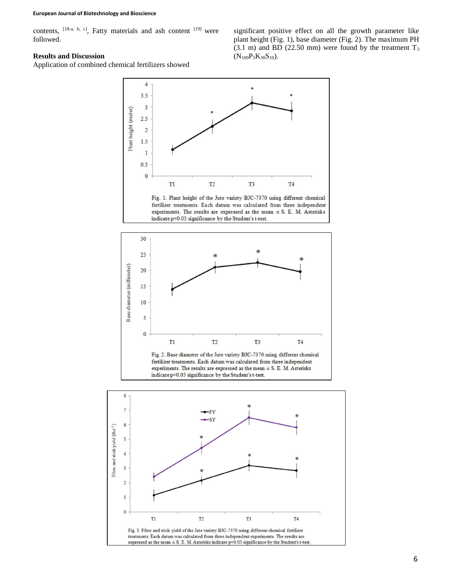contents, <sup>[18-a, b, c]</sup>, Fatty materials and ash content <sup>[19]</sup> were followed.

### **Results and Discussion**

Application of combined chemical fertilizers showed

significant positive effect on all the growth parameter like plant height (Fig. 1), base diameter (Fig. 2). The maximum PH (3.1 m) and BD (22.50 mm) were found by the treatment  $T_3$  $(N_{100}P_5K_{30}S_{10})$ .



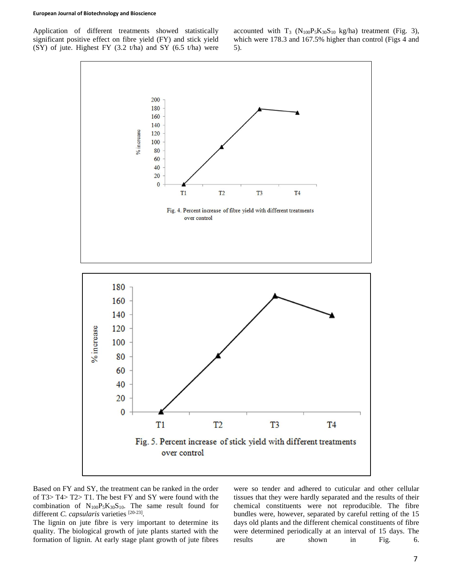#### **European Journal of Biotechnology and Bioscience**

Application of different treatments showed statistically significant positive effect on fibre yield (FY) and stick yield (SY) of jute. Highest FY  $(3.2 \text{ t/ha})$  and SY  $(6.5 \text{ t/ha})$  were

accounted with  $T_3$  ( $N_{100}P_5K_{30}S_{10}$  kg/ha) treatment (Fig. 3), which were 178.3 and 167.5% higher than control (Figs 4 and 5).



Based on FY and SY, the treatment can be ranked in the order of T3> T4> T2> T1. The best FY and SY were found with the combination of  $N_{100}P_5K_{30}S_{10}$ . The same result found for different *C. capsularis* varieties [20-23].

The lignin on jute fibre is very important to determine its quality. The biological growth of jute plants started with the formation of lignin. At early stage plant growth of jute fibres

were so tender and adhered to cuticular and other cellular tissues that they were hardly separated and the results of their chemical constituents were not reproducible. The fibre bundles were, however, separated by careful retting of the 15 days old plants and the different chemical constituents of fibre were determined periodically at an interval of 15 days. The results are shown in Fig. 6.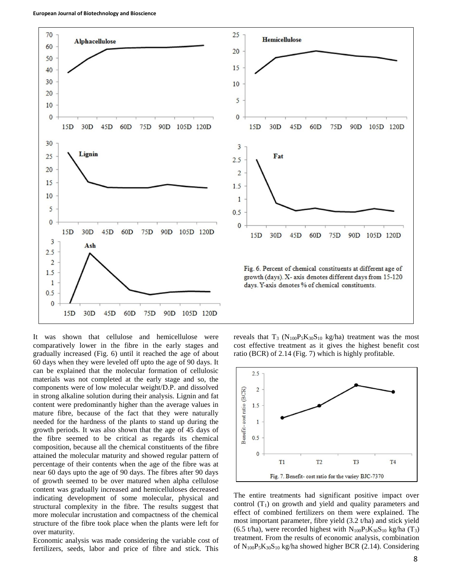



growth (days). X- axis denotes different days from 15-120 days. Y-axis denotes % of chemical constituents.

It was shown that cellulose and hemicellulose were comparatively lower in the fibre in the early stages and gradually increased (Fig. 6) until it reached the age of about 60 days when they were leveled off upto the age of 90 days. It can be explained that the molecular formation of cellulosic materials was not completed at the early stage and so, the components were of low molecular weight/D.P. and dissolved in strong alkaline solution during their analysis. Lignin and fat content were predominantly higher than the average values in mature fibre, because of the fact that they were naturally needed for the hardness of the plants to stand up during the growth periods. It was also shown that the age of 45 days of the fibre seemed to be critical as regards its chemical composition, because all the chemical constituents of the fibre attained the molecular maturity and showed regular pattern of percentage of their contents when the age of the fibre was at near 60 days upto the age of 90 days. The fibres after 90 days of growth seemed to be over matured when alpha cellulose content was gradually increased and hemicelluloses decreased indicating development of some molecular, physical and structural complexity in the fibre. The results suggest that more molecular incrustation and compactness of the chemical structure of the fibre took place when the plants were left for over maturity.

Economic analysis was made considering the variable cost of fertilizers, seeds, labor and price of fibre and stick. This

reveals that  $T_3$  (N<sub>100</sub>P<sub>5</sub>K<sub>30</sub>S<sub>10</sub> kg/ha) treatment was the most cost effective treatment as it gives the highest benefit cost ratio (BCR) of 2.14 (Fig. 7) which is highly profitable.



The entire treatments had significant positive impact over control  $(T_1)$  on growth and yield and quality parameters and effect of combined fertilizers on them were explained. The most important parameter, fibre yield (3.2 t/ha) and stick yield (6.5 t/ha), were recorded highest with  $N_{100}P_5K_{30}S_{10}$  kg/ha (T<sub>3</sub>) treatment. From the results of economic analysis, combination of  $N_{100}P_5K_{30}S_{10}$  kg/ha showed higher BCR (2.14). Considering